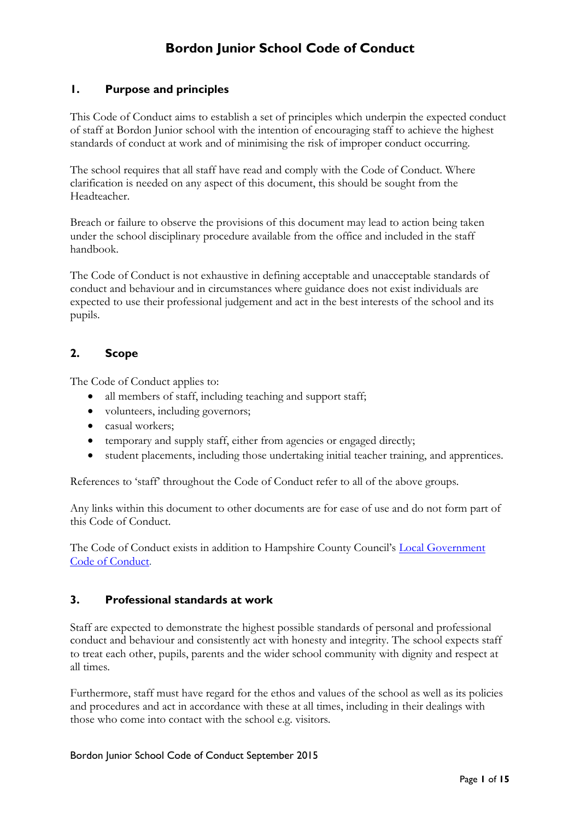# **Bordon Junior School Code of Conduct**

# **1. Purpose and principles**

This Code of Conduct aims to establish a set of principles which underpin the expected conduct of staff at Bordon Junior school with the intention of encouraging staff to achieve the highest standards of conduct at work and of minimising the risk of improper conduct occurring.

The school requires that all staff have read and comply with the Code of Conduct. Where clarification is needed on any aspect of this document, this should be sought from the Headteacher.

Breach or failure to observe the provisions of this document may lead to action being taken under the school disciplinary procedure available from the office and included in the staff handbook.

The Code of Conduct is not exhaustive in defining acceptable and unacceptable standards of conduct and behaviour and in circumstances where guidance does not exist individuals are expected to use their professional judgement and act in the best interests of the school and its pupils.

# **2. Scope**

The Code of Conduct applies to:

- all members of staff, including teaching and support staff;
- volunteers, including governors;
- casual workers;
- temporary and supply staff, either from agencies or engaged directly;
- student placements, including those undertaking initial teacher training, and apprentices.

References to 'staff' throughout the Code of Conduct refer to all of the above groups.

Any links within this document to other documents are for ease of use and do not form part of this Code of Conduct.

The Code of Conduct exists in addition to Hampshire County Council's [Local Government](http://intranet.hants.gov.uk/hr-home/hr/hr-terms/lg-codeofconduct.htm)  [Code of Conduct.](http://intranet.hants.gov.uk/hr-home/hr/hr-terms/lg-codeofconduct.htm)

### **3. Professional standards at work**

Staff are expected to demonstrate the highest possible standards of personal and professional conduct and behaviour and consistently act with honesty and integrity. The school expects staff to treat each other, pupils, parents and the wider school community with dignity and respect at all times.

Furthermore, staff must have regard for the ethos and values of the school as well as its policies and procedures and act in accordance with these at all times, including in their dealings with those who come into contact with the school e.g. visitors.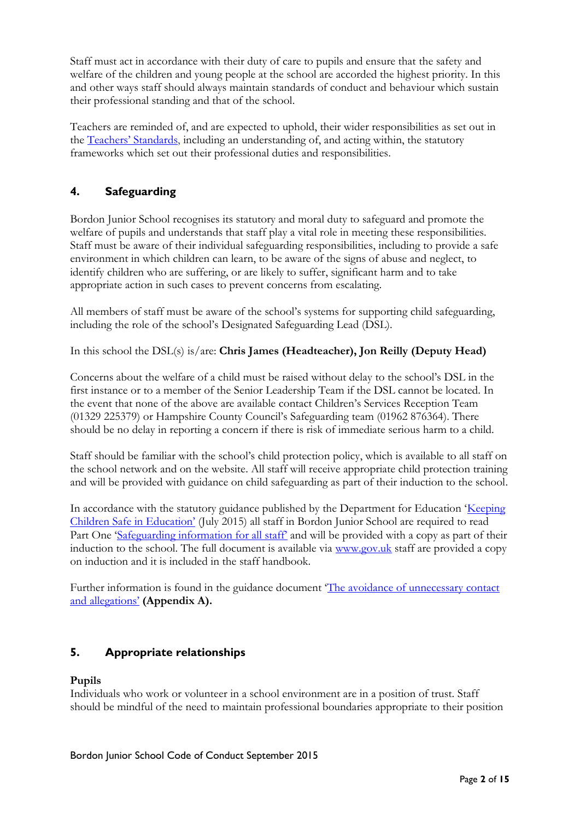Staff must act in accordance with their duty of care to pupils and ensure that the safety and welfare of the children and young people at the school are accorded the highest priority. In this and other ways staff should always maintain standards of conduct and behaviour which sustain their professional standing and that of the school.

Teachers are reminded of, and are expected to uphold, their wider responsibilities as set out in the [Teachers' Standards](https://www.gov.uk/government/uploads/system/uploads/attachment_data/file/301107/Teachers__Standards.pdf), including an understanding of, and acting within, the statutory frameworks which set out their professional duties and responsibilities.

# **4. Safeguarding**

Bordon Junior School recognises its statutory and moral duty to safeguard and promote the welfare of pupils and understands that staff play a vital role in meeting these responsibilities. Staff must be aware of their individual safeguarding responsibilities, including to provide a safe environment in which children can learn, to be aware of the signs of abuse and neglect, to identify children who are suffering, or are likely to suffer, significant harm and to take appropriate action in such cases to prevent concerns from escalating.

All members of staff must be aware of the school's systems for supporting child safeguarding, including the role of the school's Designated Safeguarding Lead (DSL).

In this school the DSL(s) is/are: **Chris James (Headteacher), Jon Reilly (Deputy Head)**

Concerns about the welfare of a child must be raised without delay to the school's DSL in the first instance or to a member of the Senior Leadership Team if the DSL cannot be located. In the event that none of the above are available contact Children's Services Reception Team (01329 225379) or Hampshire County Council's Safeguarding team (01962 876364). There should be no delay in reporting a concern if there is risk of immediate serious harm to a child.

Staff should be familiar with the school's child protection policy, which is available to all staff on the school network and on the website. All staff will receive appropriate child protection training and will be provided with guidance on child safeguarding as part of their induction to the school.

In accordance with the statutory guidance published by the Department for Education '[Keeping](https://www.gov.uk/government/uploads/system/uploads/attachment_data/file/300309/KCSIE_gdnce_FINAL.pdf)  [Children Safe in Education'](https://www.gov.uk/government/uploads/system/uploads/attachment_data/file/300309/KCSIE_gdnce_FINAL.pdf) (July 2015) all staff in Bordon Junior School are required to read Part One 'S[afeguarding information for all staff'](https://www.gov.uk/government/uploads/system/uploads/attachment_data/file/300319/KCSIE_FINAL_8PG.pdf) and will be provided with a copy as part of their induction to the school. The full document is available via [www.gov.uk](http://www.gov.uk/) staff are provided a copy on induction and it is included in the staff handbook.

Further information is found in the guidance document '[The avoidance of unnecessary](http://www3.hants.gov.uk/avoidance_of_unnecessary_contact_and_allegations.doc) contact and [allegations'](http://www3.hants.gov.uk/avoidance_of_unnecessary_contact_and_allegations.doc) **(Appendix A).**

# **5. Appropriate relationships**

### **Pupils**

Individuals who work or volunteer in a school environment are in a position of trust. Staff should be mindful of the need to maintain professional boundaries appropriate to their position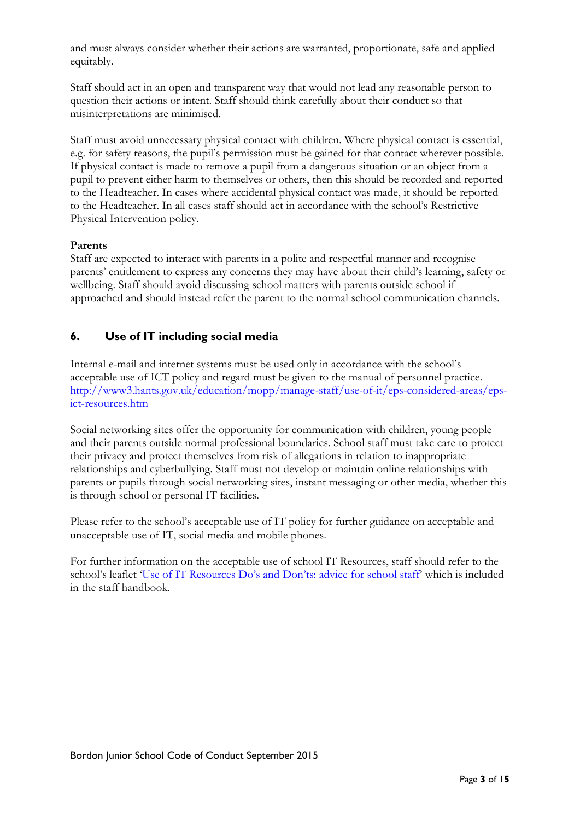and must always consider whether their actions are warranted, proportionate, safe and applied equitably.

Staff should act in an open and transparent way that would not lead any reasonable person to question their actions or intent. Staff should think carefully about their conduct so that misinterpretations are minimised.

Staff must avoid unnecessary physical contact with children. Where physical contact is essential, e.g. for safety reasons, the pupil's permission must be gained for that contact wherever possible. If physical contact is made to remove a pupil from a dangerous situation or an object from a pupil to prevent either harm to themselves or others, then this should be recorded and reported to the Headteacher. In cases where accidental physical contact was made, it should be reported to the Headteacher. In all cases staff should act in accordance with the school's Restrictive Physical Intervention policy.

### **Parents**

Staff are expected to interact with parents in a polite and respectful manner and recognise parents' entitlement to express any concerns they may have about their child's learning, safety or wellbeing. Staff should avoid discussing school matters with parents outside school if approached and should instead refer the parent to the normal school communication channels.

# **6. Use of IT including social media**

Internal e-mail and internet systems must be used only in accordance with the school's acceptable use of ICT policy and regard must be given to the manual of personnel practice. [http://www3.hants.gov.uk/education/mopp/manage-staff/use-of-it/eps-considered-areas/eps](http://www3.hants.gov.uk/education/mopp/manage-staff/use-of-it/eps-considered-areas/eps-ict-resources.htm)[ict-resources.htm](http://www3.hants.gov.uk/education/mopp/manage-staff/use-of-it/eps-considered-areas/eps-ict-resources.htm)

Social networking sites offer the opportunity for communication with children, young people and their parents outside normal professional boundaries. School staff must take care to protect their privacy and protect themselves from risk of allegations in relation to inappropriate relationships and cyberbullying. Staff must not develop or maintain online relationships with parents or pupils through social networking sites, instant messaging or other media, whether this is through school or personal IT facilities.

Please refer to the school's acceptable use of IT policy for further guidance on acceptable and unacceptable use of IT, social media and mobile phones.

For further information on the acceptable use of school IT Resources, staff should refer to the school's leaflet 'Use of IT Resource[s Do's and Don'ts: advice for sc](http://www3.hants.gov.uk/dos-and-donts-advice-for-staff-ict-resources.doc)hool staff' which is included in the staff handbook.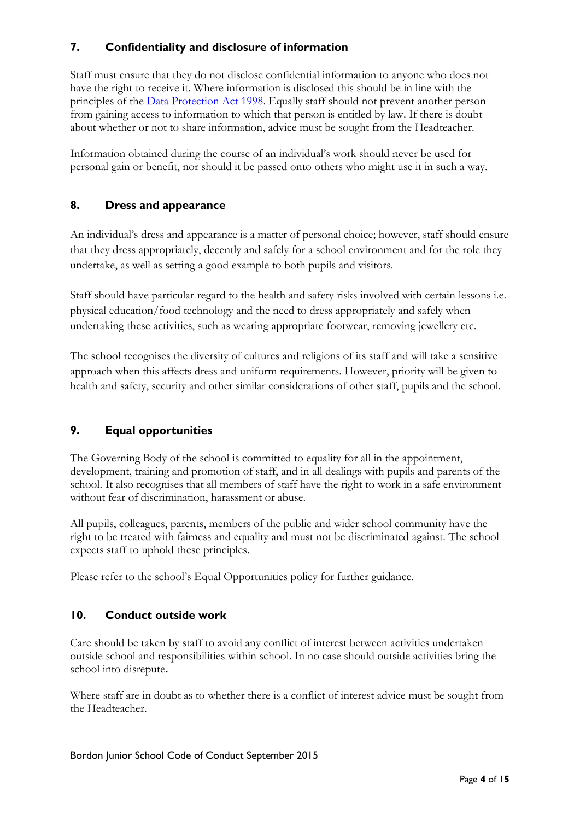# **7. Confidentiality and disclosure of information**

Staff must ensure that they do not disclose confidential information to anyone who does not have the right to receive it. Where information is disclosed this should be in line with the principles of the [Data Protection Act 1998.](http://www.legislation.gov.uk/ukpga/1998/29/contents) Equally staff should not prevent another person from gaining access to information to which that person is entitled by law. If there is doubt about whether or not to share information, advice must be sought from the Headteacher.

Information obtained during the course of an individual's work should never be used for personal gain or benefit, nor should it be passed onto others who might use it in such a way.

## **8. Dress and appearance**

An individual's dress and appearance is a matter of personal choice; however, staff should ensure that they dress appropriately, decently and safely for a school environment and for the role they undertake, as well as setting a good example to both pupils and visitors.

Staff should have particular regard to the health and safety risks involved with certain lessons i.e. physical education/food technology and the need to dress appropriately and safely when undertaking these activities, such as wearing appropriate footwear, removing jewellery etc.

The school recognises the diversity of cultures and religions of its staff and will take a sensitive approach when this affects dress and uniform requirements. However, priority will be given to health and safety, security and other similar considerations of other staff, pupils and the school.

# **9. Equal opportunities**

The Governing Body of the school is committed to equality for all in the appointment, development, training and promotion of staff, and in all dealings with pupils and parents of the school. It also recognises that all members of staff have the right to work in a safe environment without fear of discrimination, harassment or abuse.

All pupils, colleagues, parents, members of the public and wider school community have the right to be treated with fairness and equality and must not be discriminated against. The school expects staff to uphold these principles.

Please refer to the school's Equal Opportunities policy for further guidance.

### **10. Conduct outside work**

Care should be taken by staff to avoid any conflict of interest between activities undertaken outside school and responsibilities within school. In no case should outside activities bring the school into disrepute**.**

Where staff are in doubt as to whether there is a conflict of interest advice must be sought from the Headteacher.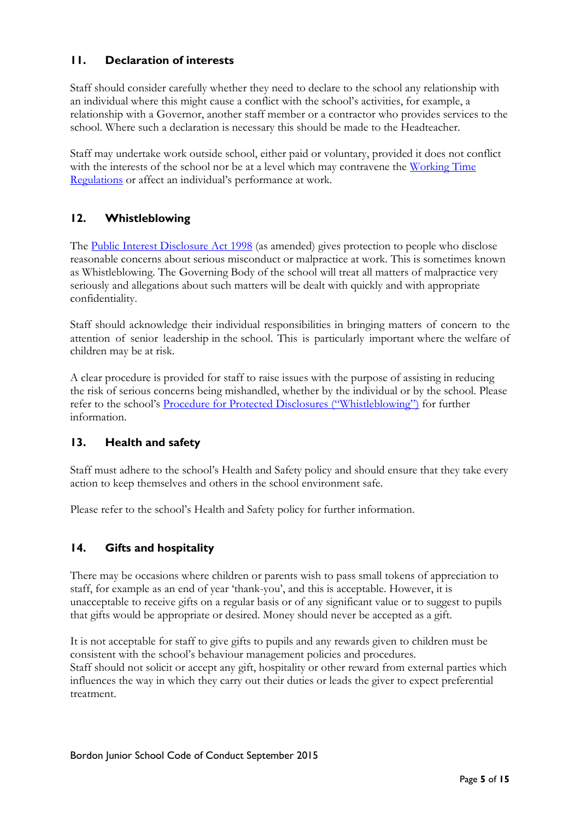# **11. Declaration of interests**

Staff should consider carefully whether they need to declare to the school any relationship with an individual where this might cause a conflict with the school's activities, for example, a relationship with a Governor, another staff member or a contractor who provides services to the school. Where such a declaration is necessary this should be made to the Headteacher.

Staff may undertake work outside school, either paid or voluntary, provided it does not conflict with the interests of the school nor be at a level which may contravene the [Working Time](http://www.legislation.gov.uk/uksi/1998/1833/made/data.pdf)  [Regulations](http://www.legislation.gov.uk/uksi/1998/1833/made/data.pdf) or affect an individual's performance at work.

# **12. Whistleblowing**

The [Public Interest Disclosure Act 1998](http://www.legislation.gov.uk/ukpga/1998/23/contents) (as amended) gives protection to people who disclose reasonable concerns about serious misconduct or malpractice at work. This is sometimes known as Whistleblowing. The Governing Body of the school will treat all matters of malpractice very seriously and allegations about such matters will be dealt with quickly and with appropriate confidentiality.

Staff should acknowledge their individual responsibilities in bringing matters of concern to the attention of senior leadership in the school. This is particularly important where the welfare of children may be at risk.

A clear procedure is provided for staff to raise issues with the purpose of assisting in reducing the risk of serious concerns being mishandled, whether by the individual or by the school. Please refer to the school's [Procedure for Protected Disclosures \("Whistleblowing"\)](http://www3.hants.gov.uk/eps-protected-disclosures.doc) for further information.

# **13. Health and safety**

Staff must adhere to the school's Health and Safety policy and should ensure that they take every action to keep themselves and others in the school environment safe.

Please refer to the school's Health and Safety policy for further information.

# **14. Gifts and hospitality**

There may be occasions where children or parents wish to pass small tokens of appreciation to staff, for example as an end of year 'thank-you', and this is acceptable. However, it is unacceptable to receive gifts on a regular basis or of any significant value or to suggest to pupils that gifts would be appropriate or desired. Money should never be accepted as a gift.

It is not acceptable for staff to give gifts to pupils and any rewards given to children must be consistent with the school's behaviour management policies and procedures. Staff should not solicit or accept any gift, hospitality or other reward from external parties which influences the way in which they carry out their duties or leads the giver to expect preferential treatment.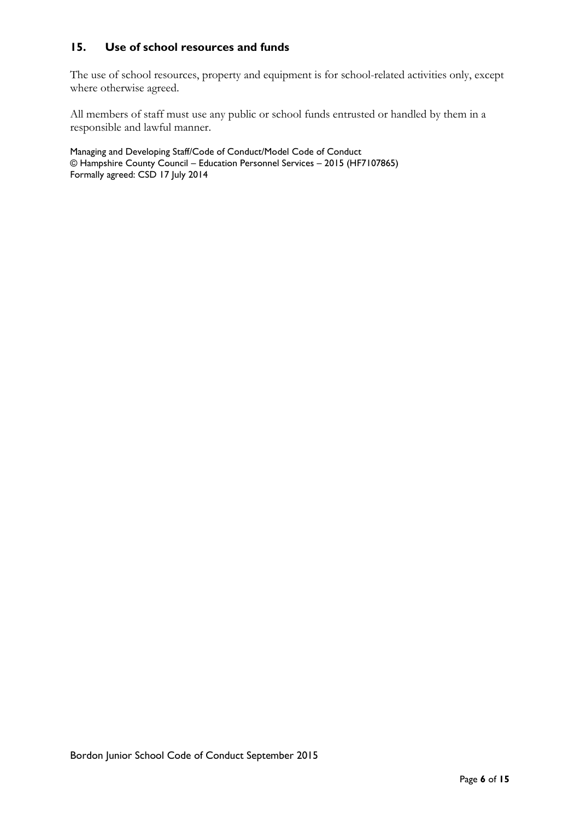# **15. Use of school resources and funds**

The use of school resources, property and equipment is for school-related activities only, except where otherwise agreed.

All members of staff must use any public or school funds entrusted or handled by them in a responsible and lawful manner.

Managing and Developing Staff/Code of Conduct/Model Code of Conduct © Hampshire County Council – Education Personnel Services – 2015 (HF7107865) Formally agreed: CSD 17 July 2014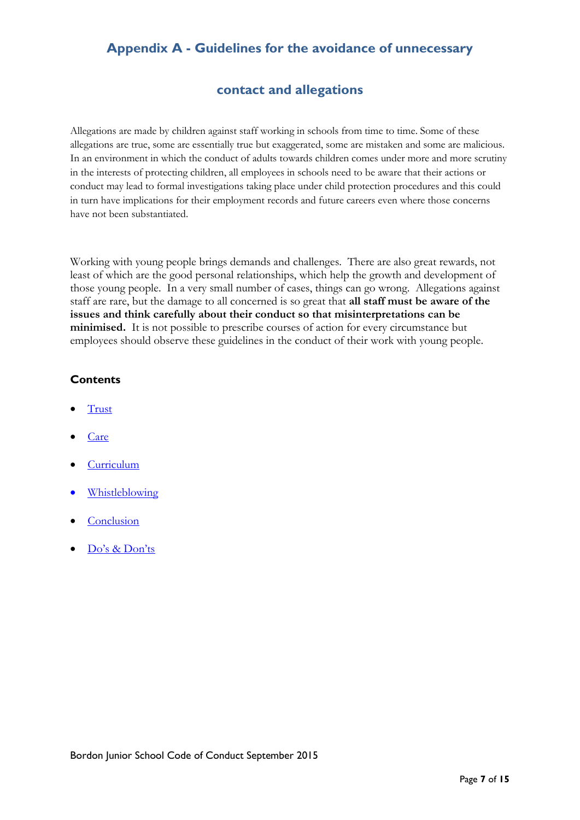# **Appendix A - Guidelines for the avoidance of unnecessary**

# **contact and allegations**

Allegations are made by children against staff working in schools from time to time. Some of these allegations are true, some are essentially true but exaggerated, some are mistaken and some are malicious. In an environment in which the conduct of adults towards children comes under more and more scrutiny in the interests of protecting children, all employees in schools need to be aware that their actions or conduct may lead to formal investigations taking place under child protection procedures and this could in turn have implications for their employment records and future careers even where those concerns have not been substantiated.

Working with young people brings demands and challenges. There are also great rewards, not least of which are the good personal relationships, which help the growth and development of those young people. In a very small number of cases, things can go wrong. Allegations against staff are rare, but the damage to all concerned is so great that **all staff must be aware of the issues and think carefully about their conduct so that misinterpretations can be minimised.** It is not possible to prescribe courses of action for every circumstance but employees should observe these guidelines in the conduct of their work with young people.

### **Contents**

- **[Trust](#page-7-0)**
- [Care](#page-8-0)
- [Curriculum](#page-10-0)
- [Whistleblowing](#page-10-1)
- **[Conclusion](#page-11-0)**
- [Do's & Don'ts](#page-13-0)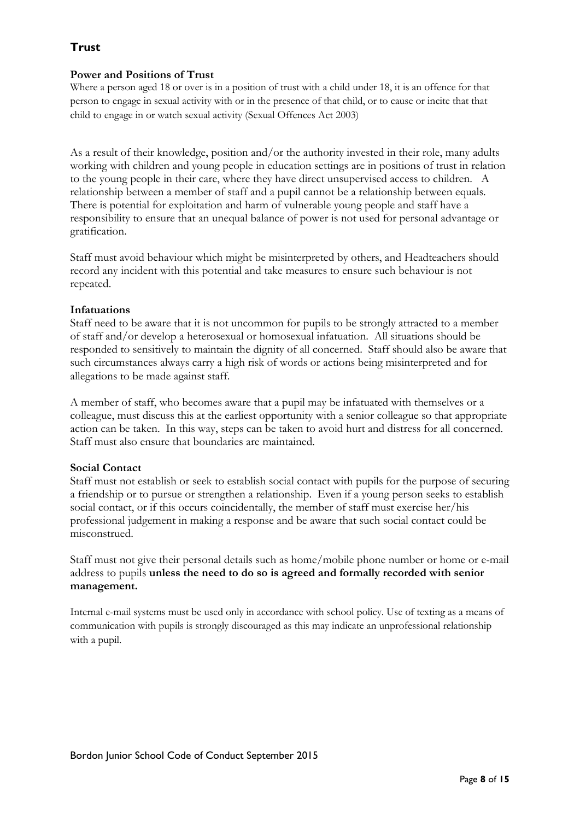# <span id="page-7-0"></span>**Trust**

### **Power and Positions of Trust**

Where a person aged 18 or over is in a position of trust with a child under 18, it is an offence for that person to engage in sexual activity with or in the presence of that child, or to cause or incite that that child to engage in or watch sexual activity (Sexual Offences Act 2003)

As a result of their knowledge, position and/or the authority invested in their role, many adults working with children and young people in education settings are in positions of trust in relation to the young people in their care, where they have direct unsupervised access to children. A relationship between a member of staff and a pupil cannot be a relationship between equals. There is potential for exploitation and harm of vulnerable young people and staff have a responsibility to ensure that an unequal balance of power is not used for personal advantage or gratification.

Staff must avoid behaviour which might be misinterpreted by others, and Headteachers should record any incident with this potential and take measures to ensure such behaviour is not repeated.

### **Infatuations**

Staff need to be aware that it is not uncommon for pupils to be strongly attracted to a member of staff and/or develop a heterosexual or homosexual infatuation. All situations should be responded to sensitively to maintain the dignity of all concerned. Staff should also be aware that such circumstances always carry a high risk of words or actions being misinterpreted and for allegations to be made against staff.

A member of staff, who becomes aware that a pupil may be infatuated with themselves or a colleague, must discuss this at the earliest opportunity with a senior colleague so that appropriate action can be taken. In this way, steps can be taken to avoid hurt and distress for all concerned. Staff must also ensure that boundaries are maintained.

# **Social Contact**

Staff must not establish or seek to establish social contact with pupils for the purpose of securing a friendship or to pursue or strengthen a relationship. Even if a young person seeks to establish social contact, or if this occurs coincidentally, the member of staff must exercise her/his professional judgement in making a response and be aware that such social contact could be misconstrued.

Staff must not give their personal details such as home/mobile phone number or home or e-mail address to pupils **unless the need to do so is agreed and formally recorded with senior management.**

Internal e-mail systems must be used only in accordance with school policy. Use of texting as a means of communication with pupils is strongly discouraged as this may indicate an unprofessional relationship with a pupil.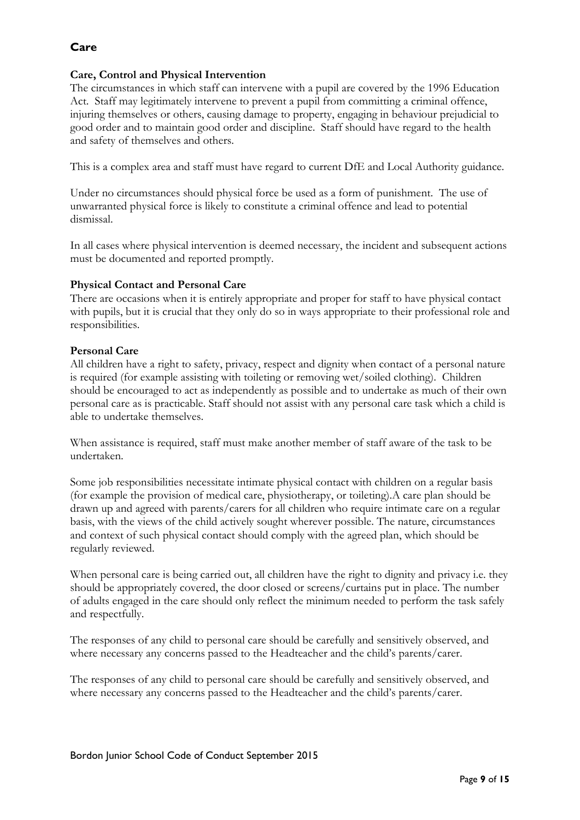# <span id="page-8-0"></span>**Care**

### **Care, Control and Physical Intervention**

The circumstances in which staff can intervene with a pupil are covered by the 1996 Education Act. Staff may legitimately intervene to prevent a pupil from committing a criminal offence, injuring themselves or others, causing damage to property, engaging in behaviour prejudicial to good order and to maintain good order and discipline. Staff should have regard to the health and safety of themselves and others.

This is a complex area and staff must have regard to current DfE and Local Authority guidance.

Under no circumstances should physical force be used as a form of punishment. The use of unwarranted physical force is likely to constitute a criminal offence and lead to potential dismissal.

In all cases where physical intervention is deemed necessary, the incident and subsequent actions must be documented and reported promptly.

### **Physical Contact and Personal Care**

There are occasions when it is entirely appropriate and proper for staff to have physical contact with pupils, but it is crucial that they only do so in ways appropriate to their professional role and responsibilities.

### **Personal Care**

All children have a right to safety, privacy, respect and dignity when contact of a personal nature is required (for example assisting with toileting or removing wet/soiled clothing). Children should be encouraged to act as independently as possible and to undertake as much of their own personal care as is practicable. Staff should not assist with any personal care task which a child is able to undertake themselves.

When assistance is required, staff must make another member of staff aware of the task to be undertaken.

Some job responsibilities necessitate intimate physical contact with children on a regular basis (for example the provision of medical care, physiotherapy, or toileting).A care plan should be drawn up and agreed with parents/carers for all children who require intimate care on a regular basis, with the views of the child actively sought wherever possible. The nature, circumstances and context of such physical contact should comply with the agreed plan, which should be regularly reviewed.

When personal care is being carried out, all children have the right to dignity and privacy i.e. they should be appropriately covered, the door closed or screens/curtains put in place. The number of adults engaged in the care should only reflect the minimum needed to perform the task safely and respectfully.

The responses of any child to personal care should be carefully and sensitively observed, and where necessary any concerns passed to the Headteacher and the child's parents/carer.

The responses of any child to personal care should be carefully and sensitively observed, and where necessary any concerns passed to the Headteacher and the child's parents/carer.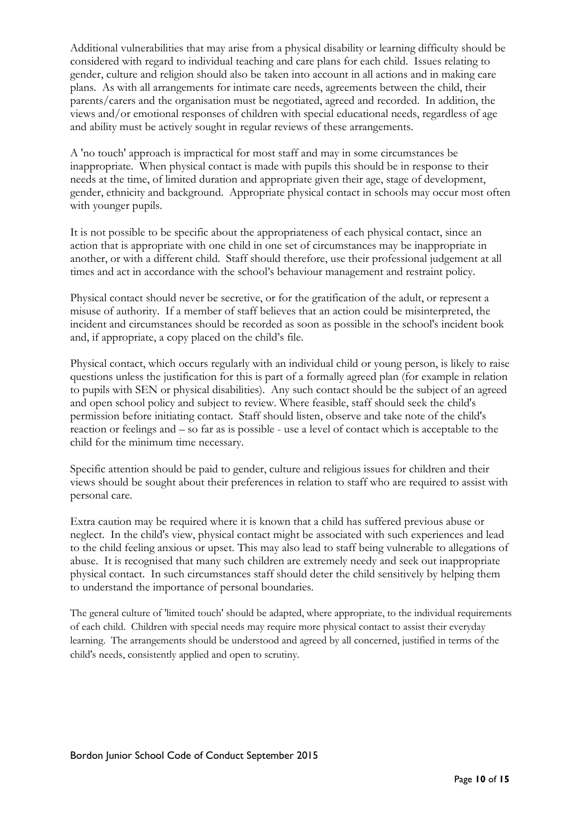Additional vulnerabilities that may arise from a physical disability or learning difficulty should be considered with regard to individual teaching and care plans for each child. Issues relating to gender, culture and religion should also be taken into account in all actions and in making care plans. As with all arrangements for intimate care needs, agreements between the child, their parents/carers and the organisation must be negotiated, agreed and recorded. In addition, the views and/or emotional responses of children with special educational needs, regardless of age and ability must be actively sought in regular reviews of these arrangements.

A 'no touch' approach is impractical for most staff and may in some circumstances be inappropriate. When physical contact is made with pupils this should be in response to their needs at the time, of limited duration and appropriate given their age, stage of development, gender, ethnicity and background. Appropriate physical contact in schools may occur most often with younger pupils.

It is not possible to be specific about the appropriateness of each physical contact, since an action that is appropriate with one child in one set of circumstances may be inappropriate in another, or with a different child. Staff should therefore, use their professional judgement at all times and act in accordance with the school's behaviour management and restraint policy.

Physical contact should never be secretive, or for the gratification of the adult, or represent a misuse of authority. If a member of staff believes that an action could be misinterpreted, the incident and circumstances should be recorded as soon as possible in the school's incident book and, if appropriate, a copy placed on the child's file.

Physical contact, which occurs regularly with an individual child or young person, is likely to raise questions unless the justification for this is part of a formally agreed plan (for example in relation to pupils with SEN or physical disabilities). Any such contact should be the subject of an agreed and open school policy and subject to review. Where feasible, staff should seek the child's permission before initiating contact. Staff should listen, observe and take note of the child's reaction or feelings and – so far as is possible - use a level of contact which is acceptable to the child for the minimum time necessary.

Specific attention should be paid to gender, culture and religious issues for children and their views should be sought about their preferences in relation to staff who are required to assist with personal care.

Extra caution may be required where it is known that a child has suffered previous abuse or neglect. In the child's view, physical contact might be associated with such experiences and lead to the child feeling anxious or upset. This may also lead to staff being vulnerable to allegations of abuse. It is recognised that many such children are extremely needy and seek out inappropriate physical contact. In such circumstances staff should deter the child sensitively by helping them to understand the importance of personal boundaries.

The general culture of 'limited touch' should be adapted, where appropriate, to the individual requirements of each child. Children with special needs may require more physical contact to assist their everyday learning. The arrangements should be understood and agreed by all concerned, justified in terms of the child's needs, consistently applied and open to scrutiny.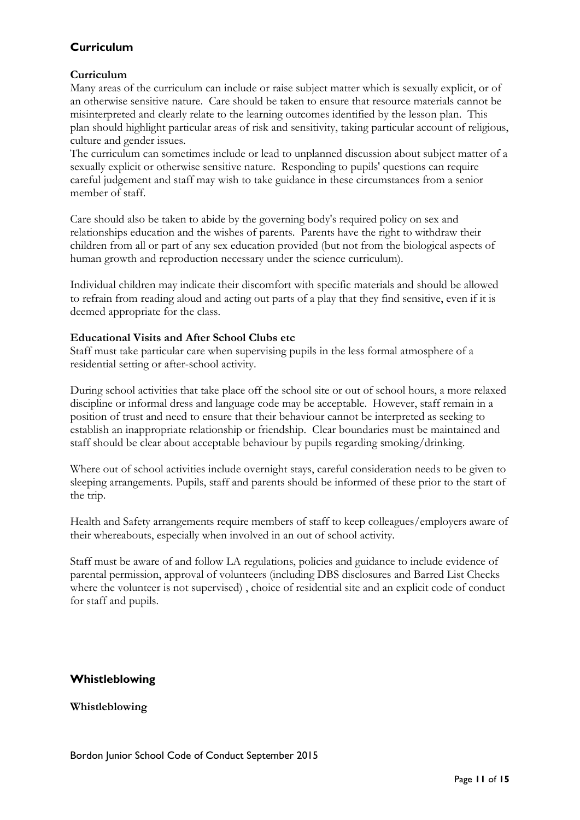# <span id="page-10-0"></span>**Curriculum**

### **Curriculum**

Many areas of the curriculum can include or raise subject matter which is sexually explicit, or of an otherwise sensitive nature. Care should be taken to ensure that resource materials cannot be misinterpreted and clearly relate to the learning outcomes identified by the lesson plan. This plan should highlight particular areas of risk and sensitivity, taking particular account of religious, culture and gender issues.

The curriculum can sometimes include or lead to unplanned discussion about subject matter of a sexually explicit or otherwise sensitive nature. Responding to pupils' questions can require careful judgement and staff may wish to take guidance in these circumstances from a senior member of staff.

Care should also be taken to abide by the governing body's required policy on sex and relationships education and the wishes of parents. Parents have the right to withdraw their children from all or part of any sex education provided (but not from the biological aspects of human growth and reproduction necessary under the science curriculum).

Individual children may indicate their discomfort with specific materials and should be allowed to refrain from reading aloud and acting out parts of a play that they find sensitive, even if it is deemed appropriate for the class.

### **Educational Visits and After School Clubs etc**

Staff must take particular care when supervising pupils in the less formal atmosphere of a residential setting or after-school activity.

During school activities that take place off the school site or out of school hours, a more relaxed discipline or informal dress and language code may be acceptable. However, staff remain in a position of trust and need to ensure that their behaviour cannot be interpreted as seeking to establish an inappropriate relationship or friendship. Clear boundaries must be maintained and staff should be clear about acceptable behaviour by pupils regarding smoking/drinking.

Where out of school activities include overnight stays, careful consideration needs to be given to sleeping arrangements. Pupils, staff and parents should be informed of these prior to the start of the trip.

Health and Safety arrangements require members of staff to keep colleagues/employers aware of their whereabouts, especially when involved in an out of school activity.

Staff must be aware of and follow LA regulations, policies and guidance to include evidence of parental permission, approval of volunteers (including DBS disclosures and Barred List Checks where the volunteer is not supervised) , choice of residential site and an explicit code of conduct for staff and pupils.

# <span id="page-10-1"></span>**Whistleblowing**

**Whistleblowing**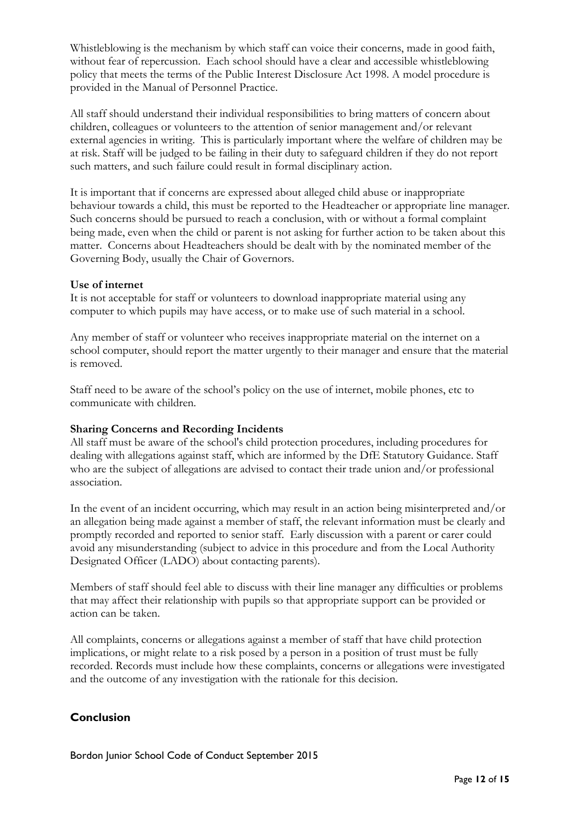Whistleblowing is the mechanism by which staff can voice their concerns, made in good faith, without fear of repercussion. Each school should have a clear and accessible whistleblowing policy that meets the terms of the Public Interest Disclosure Act 1998. A model procedure is provided in the Manual of Personnel Practice.

All staff should understand their individual responsibilities to bring matters of concern about children, colleagues or volunteers to the attention of senior management and/or relevant external agencies in writing. This is particularly important where the welfare of children may be at risk. Staff will be judged to be failing in their duty to safeguard children if they do not report such matters, and such failure could result in formal disciplinary action.

It is important that if concerns are expressed about alleged child abuse or inappropriate behaviour towards a child, this must be reported to the Headteacher or appropriate line manager. Such concerns should be pursued to reach a conclusion, with or without a formal complaint being made, even when the child or parent is not asking for further action to be taken about this matter. Concerns about Headteachers should be dealt with by the nominated member of the Governing Body, usually the Chair of Governors.

### **Use of internet**

It is not acceptable for staff or volunteers to download inappropriate material using any computer to which pupils may have access, or to make use of such material in a school.

Any member of staff or volunteer who receives inappropriate material on the internet on a school computer, should report the matter urgently to their manager and ensure that the material is removed.

Staff need to be aware of the school's policy on the use of internet, mobile phones, etc to communicate with children.

### **Sharing Concerns and Recording Incidents**

All staff must be aware of the school's child protection procedures, including procedures for dealing with allegations against staff, which are informed by the DfE Statutory Guidance. Staff who are the subject of allegations are advised to contact their trade union and/or professional association.

In the event of an incident occurring, which may result in an action being misinterpreted and/or an allegation being made against a member of staff, the relevant information must be clearly and promptly recorded and reported to senior staff. Early discussion with a parent or carer could avoid any misunderstanding (subject to advice in this procedure and from the Local Authority Designated Officer (LADO) about contacting parents).

Members of staff should feel able to discuss with their line manager any difficulties or problems that may affect their relationship with pupils so that appropriate support can be provided or action can be taken.

All complaints, concerns or allegations against a member of staff that have child protection implications, or might relate to a risk posed by a person in a position of trust must be fully recorded. Records must include how these complaints, concerns or allegations were investigated and the outcome of any investigation with the rationale for this decision.

# <span id="page-11-0"></span>**Conclusion**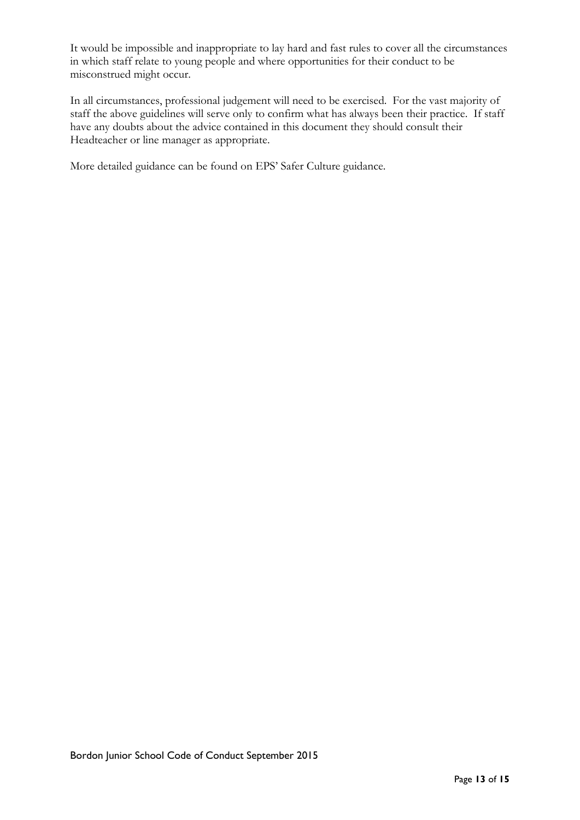It would be impossible and inappropriate to lay hard and fast rules to cover all the circumstances in which staff relate to young people and where opportunities for their conduct to be misconstrued might occur.

In all circumstances, professional judgement will need to be exercised. For the vast majority of staff the above guidelines will serve only to confirm what has always been their practice. If staff have any doubts about the advice contained in this document they should consult their Headteacher or line manager as appropriate.

More detailed guidance can be found on EPS' Safer Culture guidance.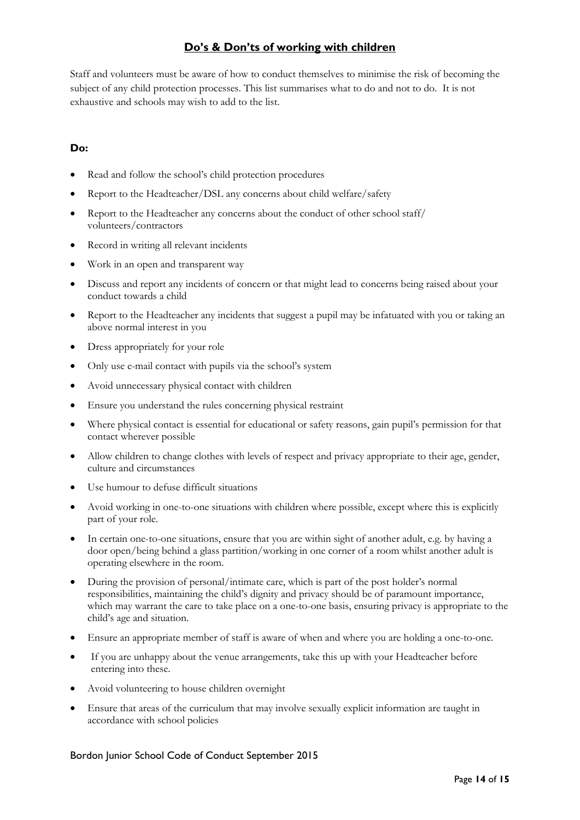# **Do's & Don'ts of working with children**

<span id="page-13-0"></span>Staff and volunteers must be aware of how to conduct themselves to minimise the risk of becoming the subject of any child protection processes. This list summarises what to do and not to do. It is not exhaustive and schools may wish to add to the list.

### **Do:**

- Read and follow the school's child protection procedures
- Report to the Headteacher/DSL any concerns about child welfare/safety
- Report to the Headteacher any concerns about the conduct of other school staff/ volunteers/contractors
- Record in writing all relevant incidents
- Work in an open and transparent way
- Discuss and report any incidents of concern or that might lead to concerns being raised about your conduct towards a child
- Report to the Headteacher any incidents that suggest a pupil may be infatuated with you or taking an above normal interest in you
- Dress appropriately for your role
- Only use e-mail contact with pupils via the school's system
- Avoid unnecessary physical contact with children
- Ensure you understand the rules concerning physical restraint
- Where physical contact is essential for educational or safety reasons, gain pupil's permission for that contact wherever possible
- Allow children to change clothes with levels of respect and privacy appropriate to their age, gender, culture and circumstances
- Use humour to defuse difficult situations
- Avoid working in one-to-one situations with children where possible, except where this is explicitly part of your role.
- In certain one-to-one situations, ensure that you are within sight of another adult, e.g. by having a door open/being behind a glass partition/working in one corner of a room whilst another adult is operating elsewhere in the room.
- During the provision of personal/intimate care, which is part of the post holder's normal responsibilities, maintaining the child's dignity and privacy should be of paramount importance, which may warrant the care to take place on a one-to-one basis, ensuring privacy is appropriate to the child's age and situation.
- Ensure an appropriate member of staff is aware of when and where you are holding a one-to-one.
- If you are unhappy about the venue arrangements, take this up with your Headteacher before entering into these.
- Avoid volunteering to house children overnight
- Ensure that areas of the curriculum that may involve sexually explicit information are taught in accordance with school policies

#### Bordon Junior School Code of Conduct September 2015